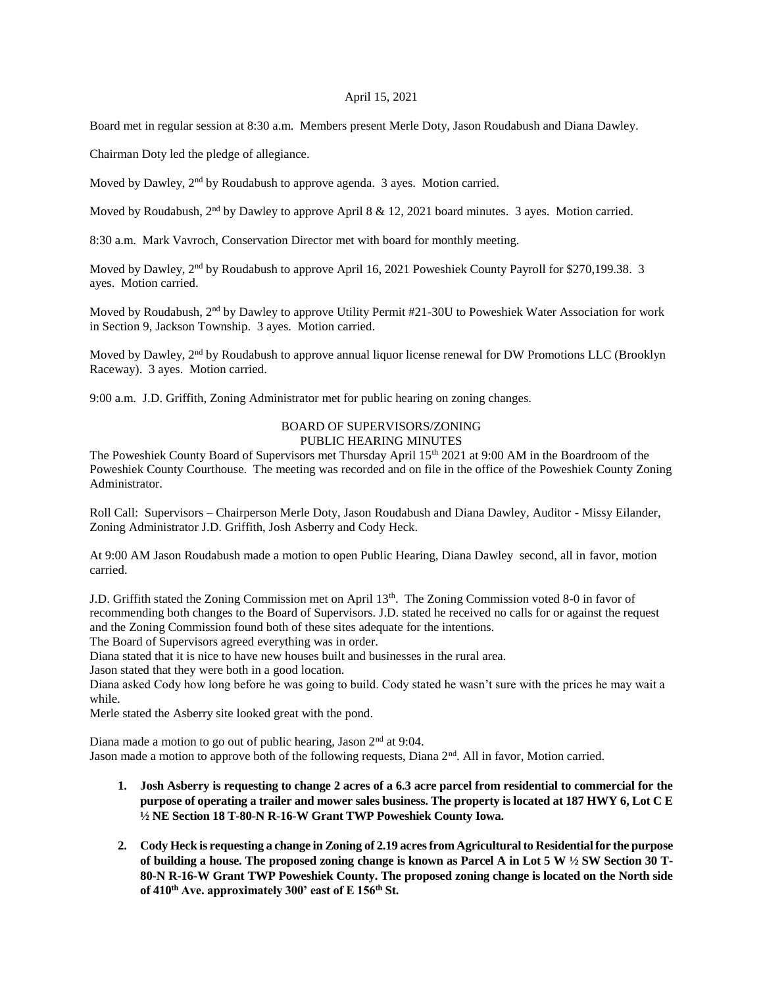## April 15, 2021

Board met in regular session at 8:30 a.m. Members present Merle Doty, Jason Roudabush and Diana Dawley.

Chairman Doty led the pledge of allegiance.

Moved by Dawley, 2<sup>nd</sup> by Roudabush to approve agenda. 3 ayes. Motion carried.

Moved by Roudabush, 2<sup>nd</sup> by Dawley to approve April 8 & 12, 2021 board minutes. 3 ayes. Motion carried.

8:30 a.m. Mark Vavroch, Conservation Director met with board for monthly meeting.

Moved by Dawley, 2<sup>nd</sup> by Roudabush to approve April 16, 2021 Poweshiek County Payroll for \$270,199.38. 3 ayes. Motion carried.

Moved by Roudabush, 2<sup>nd</sup> by Dawley to approve Utility Permit #21-30U to Poweshiek Water Association for work in Section 9, Jackson Township. 3 ayes. Motion carried.

Moved by Dawley, 2<sup>nd</sup> by Roudabush to approve annual liquor license renewal for DW Promotions LLC (Brooklyn Raceway). 3 ayes. Motion carried.

9:00 a.m. J.D. Griffith, Zoning Administrator met for public hearing on zoning changes.

## BOARD OF SUPERVISORS/ZONING PUBLIC HEARING MINUTES

The Poweshiek County Board of Supervisors met Thursday April 15<sup>th</sup> 2021 at 9:00 AM in the Boardroom of the Poweshiek County Courthouse. The meeting was recorded and on file in the office of the Poweshiek County Zoning Administrator.

Roll Call: Supervisors – Chairperson Merle Doty, Jason Roudabush and Diana Dawley, Auditor - Missy Eilander, Zoning Administrator J.D. Griffith, Josh Asberry and Cody Heck.

At 9:00 AM Jason Roudabush made a motion to open Public Hearing, Diana Dawley second, all in favor, motion carried.

J.D. Griffith stated the Zoning Commission met on April  $13<sup>th</sup>$ . The Zoning Commission voted 8-0 in favor of recommending both changes to the Board of Supervisors. J.D. stated he received no calls for or against the request and the Zoning Commission found both of these sites adequate for the intentions.

The Board of Supervisors agreed everything was in order.

Diana stated that it is nice to have new houses built and businesses in the rural area.

Jason stated that they were both in a good location.

Diana asked Cody how long before he was going to build. Cody stated he wasn't sure with the prices he may wait a while.

Merle stated the Asberry site looked great with the pond.

Diana made a motion to go out of public hearing, Jason 2<sup>nd</sup> at 9:04. Jason made a motion to approve both of the following requests, Diana  $2<sup>nd</sup>$ . All in favor, Motion carried.

- **1. Josh Asberry is requesting to change 2 acres of a 6.3 acre parcel from residential to commercial for the purpose of operating a trailer and mower sales business. The property is located at 187 HWY 6, Lot C E ½ NE Section 18 T-80-N R-16-W Grant TWP Poweshiek County Iowa.**
- **2. Cody Heck is requesting a change in Zoning of 2.19 acres from Agricultural to Residential for the purpose of building a house. The proposed zoning change is known as Parcel A in Lot 5 W ½ SW Section 30 T-80-N R-16-W Grant TWP Poweshiek County. The proposed zoning change is located on the North side of 410th Ave. approximately 300' east of E 156th St.**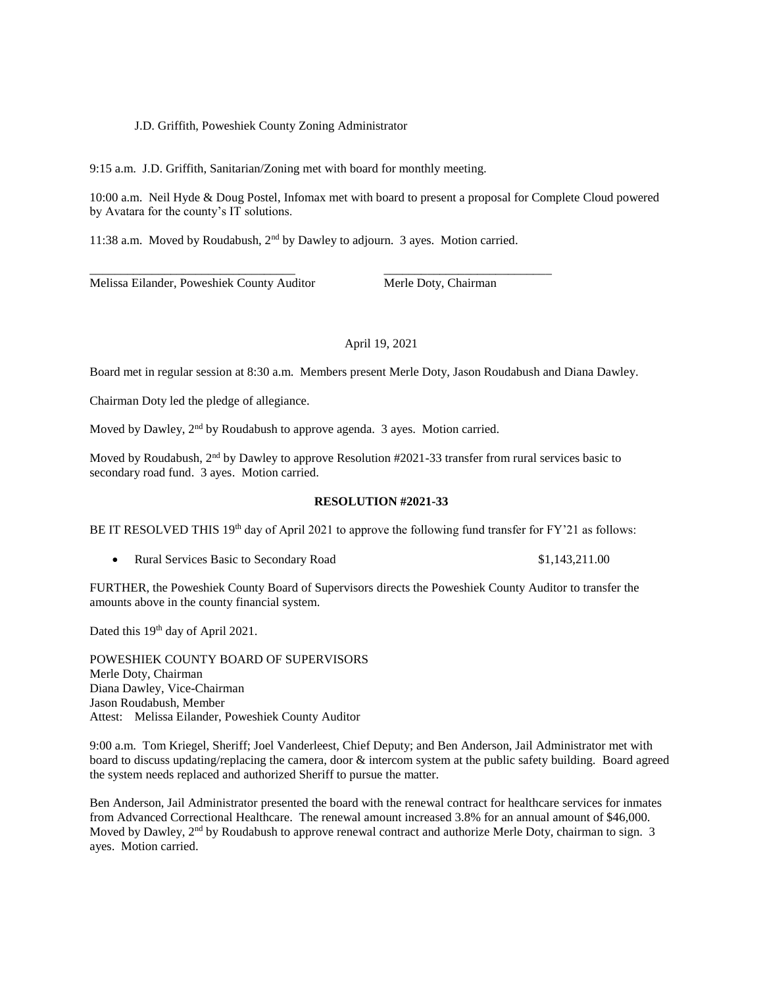J.D. Griffith, Poweshiek County Zoning Administrator

9:15 a.m. J.D. Griffith, Sanitarian/Zoning met with board for monthly meeting.

10:00 a.m. Neil Hyde & Doug Postel, Infomax met with board to present a proposal for Complete Cloud powered by Avatara for the county's IT solutions.

11:38 a.m. Moved by Roudabush,  $2<sup>nd</sup>$  by Dawley to adjourn. 3 ayes. Motion carried.

\_\_\_\_\_\_\_\_\_\_\_\_\_\_\_\_\_\_\_\_\_\_\_\_\_\_\_\_\_\_\_\_\_ \_\_\_\_\_\_\_\_\_\_\_\_\_\_\_\_\_\_\_\_\_\_\_\_\_\_\_ Melissa Eilander, Poweshiek County Auditor Merle Doty, Chairman

## April 19, 2021

Board met in regular session at 8:30 a.m. Members present Merle Doty, Jason Roudabush and Diana Dawley.

Chairman Doty led the pledge of allegiance.

Moved by Dawley, 2<sup>nd</sup> by Roudabush to approve agenda. 3 ayes. Motion carried.

Moved by Roudabush, 2<sup>nd</sup> by Dawley to approve Resolution #2021-33 transfer from rural services basic to secondary road fund. 3 ayes. Motion carried.

## **RESOLUTION #2021-33**

BE IT RESOLVED THIS 19<sup>th</sup> day of April 2021 to approve the following fund transfer for FY'21 as follows:

• Rural Services Basic to Secondary Road  $$1,143,211.00$ 

FURTHER, the Poweshiek County Board of Supervisors directs the Poweshiek County Auditor to transfer the amounts above in the county financial system.

Dated this 19<sup>th</sup> day of April 2021.

POWESHIEK COUNTY BOARD OF SUPERVISORS Merle Doty, Chairman Diana Dawley, Vice-Chairman Jason Roudabush, Member Attest: Melissa Eilander, Poweshiek County Auditor

9:00 a.m. Tom Kriegel, Sheriff; Joel Vanderleest, Chief Deputy; and Ben Anderson, Jail Administrator met with board to discuss updating/replacing the camera, door & intercom system at the public safety building. Board agreed the system needs replaced and authorized Sheriff to pursue the matter.

Ben Anderson, Jail Administrator presented the board with the renewal contract for healthcare services for inmates from Advanced Correctional Healthcare. The renewal amount increased 3.8% for an annual amount of \$46,000. Moved by Dawley, 2<sup>nd</sup> by Roudabush to approve renewal contract and authorize Merle Doty, chairman to sign. 3 ayes. Motion carried.